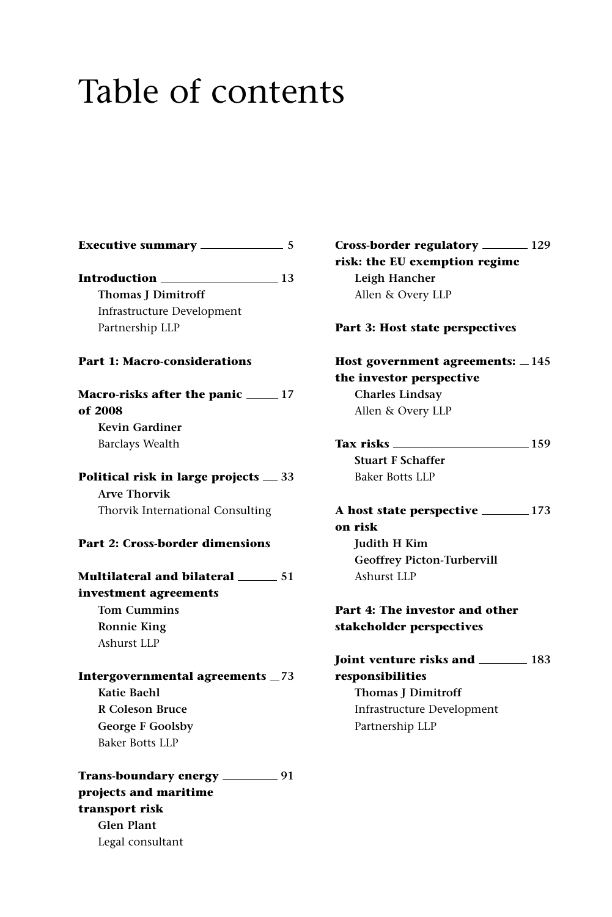## Table of contents

| <b>Executive summary</b> ____                     | $\sim$ 5       |
|---------------------------------------------------|----------------|
| Introduction .                                    | $\frac{13}{2}$ |
| <b>Thomas J Dimitroff</b>                         |                |
| Infrastructure Development                        |                |
| Partnership LLP                                   |                |
| <b>Part 1: Macro-considerations</b>               |                |
| Macro-risks after the panic ______ 17<br>of 2008  |                |
| <b>Kevin Gardiner</b>                             |                |
| <b>Barclays Wealth</b>                            |                |
| Political risk in large projects _33              |                |
| <b>Arve Thorvik</b>                               |                |
| Thorvik International Consulting                  |                |
| Part 2: Cross-border dimensions                   |                |
| Multilateral and bilateral <b>_____________51</b> |                |
| investment agreements                             |                |
| <b>Tom Cummins</b>                                |                |
| <b>Ronnie King</b>                                |                |
| Ashurst LLP                                       |                |
| Intergovernmental agreements _73                  |                |
| Katie Baehl                                       |                |
| <b>R</b> Coleson Bruce                            |                |
| <b>George F Goolsby</b>                           |                |
| <b>Baker Botts LLP</b>                            |                |
| Trans-boundary energy __________ 91               |                |
| projects and maritime                             |                |
| transport risk                                    |                |
| <b>Glen Plant</b>                                 |                |
| Legal consultant                                  |                |
|                                                   |                |

| Cross-border regulatory _______ 129<br>risk: the EU exemption regime<br>Leigh Hancher<br>Allen & Overy LLP |  |
|------------------------------------------------------------------------------------------------------------|--|
| Part 3: Host state perspectives                                                                            |  |
| Host government agreements: $\_\$ 145<br>the investor perspective                                          |  |
| <b>Charles Lindsay</b>                                                                                     |  |
| Allen & Overy LLP                                                                                          |  |
|                                                                                                            |  |
| Tax risks ______<br>$\frac{159}{2}$<br><b>Stuart F Schaffer</b>                                            |  |
|                                                                                                            |  |
| Baker Botts LLP                                                                                            |  |
|                                                                                                            |  |
| on risk                                                                                                    |  |
| Judith H Kim                                                                                               |  |
| <b>Geoffrey Picton-Turbervill</b>                                                                          |  |
| Ashurst LLP                                                                                                |  |
| Part 4: The investor and other<br>stakeholder perspectives                                                 |  |
| Joint venture risks and __________ 183                                                                     |  |
| responsibilities                                                                                           |  |
| <b>Thomas J Dimitroff</b>                                                                                  |  |
| <b>Infrastructure Development</b>                                                                          |  |
| Partnership LLP                                                                                            |  |
|                                                                                                            |  |
|                                                                                                            |  |
|                                                                                                            |  |